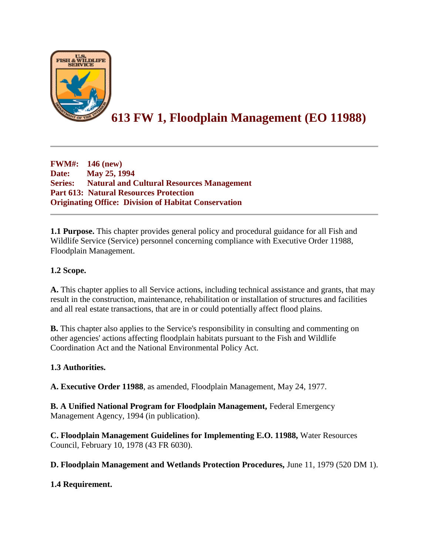

# **613 FW 1, Floodplain Management (EO 11988)**

**FWM#: 146 (new) Date: May 25, 1994 Series: Natural and Cultural Resources Management Part 613: Natural Resources Protection Originating Office: Division of Habitat Conservation**

**1.1 Purpose.** This chapter provides general policy and procedural guidance for all Fish and Wildlife Service (Service) personnel concerning compliance with Executive Order 11988, Floodplain Management.

# **1.2 Scope.**

**A.** This chapter applies to all Service actions, including technical assistance and grants, that may result in the construction, maintenance, rehabilitation or installation of structures and facilities and all real estate transactions, that are in or could potentially affect flood plains.

**B.** This chapter also applies to the Service's responsibility in consulting and commenting on other agencies' actions affecting floodplain habitats pursuant to the Fish and Wildlife Coordination Act and the National Environmental Policy Act.

### **1.3 Authorities.**

**A. Executive Order 11988**, as amended, Floodplain Management, May 24, 1977.

**B. A Unified National Program for Floodplain Management,** Federal Emergency Management Agency, 1994 (in publication).

**C. Floodplain Management Guidelines for Implementing E.O. 11988,** Water Resources Council, February 10, 1978 (43 FR 6030).

**D. Floodplain Management and Wetlands Protection Procedures,** June 11, 1979 (520 DM 1).

### **1.4 Requirement.**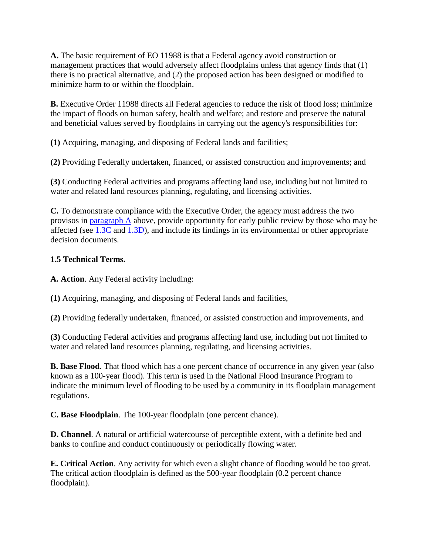**A.** The basic requirement of EO 11988 is that a Federal agency avoid construction or management practices that would adversely affect floodplains unless that agency finds that (1) there is no practical alternative, and (2) the proposed action has been designed or modified to minimize harm to or within the floodplain.

**B.** Executive Order 11988 directs all Federal agencies to reduce the risk of flood loss; minimize the impact of floods on human safety, health and welfare; and restore and preserve the natural and beneficial values served by floodplains in carrying out the agency's responsibilities for:

**(1)** Acquiring, managing, and disposing of Federal lands and facilities;

**(2)** Providing Federally undertaken, financed, or assisted construction and improvements; and

**(3)** Conducting Federal activities and programs affecting land use, including but not limited to water and related land resources planning, regulating, and licensing activities.

**C.** To demonstrate compliance with the Executive Order, the agency must address the two provisos in [paragraph A](https://www.fws.gov/policy/613fw1.html#1.4A) above, provide opportunity for early public review by those who may be affected (see [1.3C](https://www.fws.gov/policy/613fw1.html#1.3C) and [1.3D\)](https://www.fws.gov/policy/613fw1.html#1.3D), and include its findings in its environmental or other appropriate decision documents.

# **1.5 Technical Terms.**

**A. Action**. Any Federal activity including:

**(1)** Acquiring, managing, and disposing of Federal lands and facilities,

**(2)** Providing federally undertaken, financed, or assisted construction and improvements, and

**(3)** Conducting Federal activities and programs affecting land use, including but not limited to water and related land resources planning, regulating, and licensing activities.

**B. Base Flood**. That flood which has a one percent chance of occurrence in any given year (also known as a 100-year flood). This term is used in the National Flood Insurance Program to indicate the minimum level of flooding to be used by a community in its floodplain management regulations.

**C. Base Floodplain**. The 100-year floodplain (one percent chance).

**D. Channel**. A natural or artificial watercourse of perceptible extent, with a definite bed and banks to confine and conduct continuously or periodically flowing water.

**E. Critical Action**. Any activity for which even a slight chance of flooding would be too great. The critical action floodplain is defined as the 500-year floodplain (0.2 percent chance floodplain).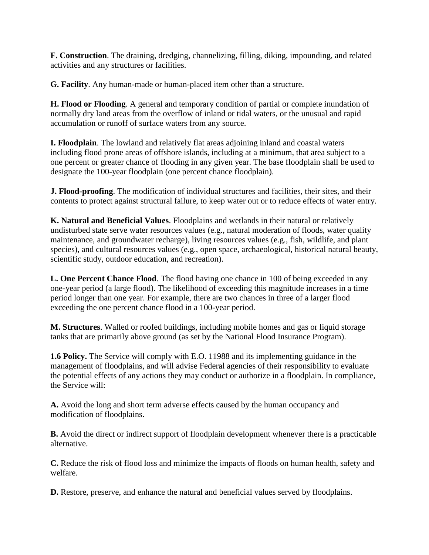**F. Construction**. The draining, dredging, channelizing, filling, diking, impounding, and related activities and any structures or facilities.

**G. Facility**. Any human-made or human-placed item other than a structure.

**H. Flood or Flooding**. A general and temporary condition of partial or complete inundation of normally dry land areas from the overflow of inland or tidal waters, or the unusual and rapid accumulation or runoff of surface waters from any source.

**I. Floodplain**. The lowland and relatively flat areas adjoining inland and coastal waters including flood prone areas of offshore islands, including at a minimum, that area subject to a one percent or greater chance of flooding in any given year. The base floodplain shall be used to designate the 100-year floodplain (one percent chance floodplain).

**J. Flood-proofing**. The modification of individual structures and facilities, their sites, and their contents to protect against structural failure, to keep water out or to reduce effects of water entry.

**K. Natural and Beneficial Values**. Floodplains and wetlands in their natural or relatively undisturbed state serve water resources values (e.g., natural moderation of floods, water quality maintenance, and groundwater recharge), living resources values (e.g., fish, wildlife, and plant species), and cultural resources values (e.g., open space, archaeological, historical natural beauty, scientific study, outdoor education, and recreation).

**L. One Percent Chance Flood**. The flood having one chance in 100 of being exceeded in any one-year period (a large flood). The likelihood of exceeding this magnitude increases in a time period longer than one year. For example, there are two chances in three of a larger flood exceeding the one percent chance flood in a 100-year period.

**M. Structures**. Walled or roofed buildings, including mobile homes and gas or liquid storage tanks that are primarily above ground (as set by the National Flood Insurance Program).

**1.6 Policy.** The Service will comply with E.O. 11988 and its implementing guidance in the management of floodplains, and will advise Federal agencies of their responsibility to evaluate the potential effects of any actions they may conduct or authorize in a floodplain. In compliance, the Service will:

**A.** Avoid the long and short term adverse effects caused by the human occupancy and modification of floodplains.

**B.** Avoid the direct or indirect support of floodplain development whenever there is a practicable alternative.

**C.** Reduce the risk of flood loss and minimize the impacts of floods on human health, safety and welfare.

**D.** Restore, preserve, and enhance the natural and beneficial values served by floodplains.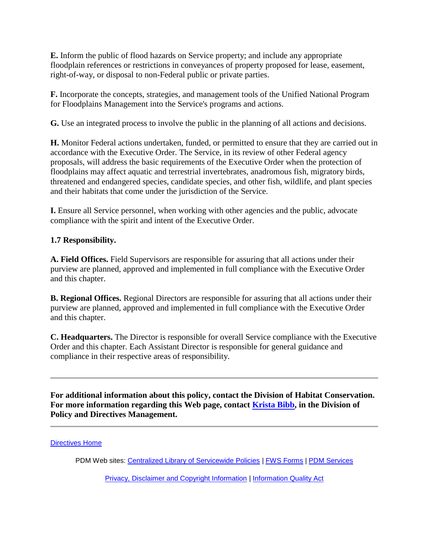**E.** Inform the public of flood hazards on Service property; and include any appropriate floodplain references or restrictions in conveyances of property proposed for lease, easement, right-of-way, or disposal to non-Federal public or private parties.

**F.** Incorporate the concepts, strategies, and management tools of the Unified National Program for Floodplains Management into the Service's programs and actions.

**G.** Use an integrated process to involve the public in the planning of all actions and decisions.

**H.** Monitor Federal actions undertaken, funded, or permitted to ensure that they are carried out in accordance with the Executive Order. The Service, in its review of other Federal agency proposals, will address the basic requirements of the Executive Order when the protection of floodplains may affect aquatic and terrestrial invertebrates, anadromous fish, migratory birds, threatened and endangered species, candidate species, and other fish, wildlife, and plant species and their habitats that come under the jurisdiction of the Service.

**I.** Ensure all Service personnel, when working with other agencies and the public, advocate compliance with the spirit and intent of the Executive Order.

# **1.7 Responsibility.**

**A. Field Offices.** Field Supervisors are responsible for assuring that all actions under their purview are planned, approved and implemented in full compliance with the Executive Order and this chapter.

**B. Regional Offices.** Regional Directors are responsible for assuring that all actions under their purview are planned, approved and implemented in full compliance with the Executive Order and this chapter.

**C. Headquarters.** The Director is responsible for overall Service compliance with the Executive Order and this chapter. Each Assistant Director is responsible for general guidance and compliance in their respective areas of responsibility.

**For additional information about this policy, contact the Division of Habitat Conservation. For more information regarding this Web page, contact [Krista Bibb,](mailto:Krista_Bibb@fws.gov) in the Division of Policy and Directives Management.**

[Directives Home](https://www.fws.gov/policy/manuals)

PDM Web sites: [Centralized Library of Servicewide Policies](https://www.fws.gov/policy/) | [FWS Forms](https://www.fws.gov/forms/) | [PDM Services](https://www.fws.gov/pdm/) 

[Privacy, Disclaimer and Copyright Information](https://www.fws.gov/help/policies.html) | [Information Quality Act](https://www.fws.gov/informationquality/)